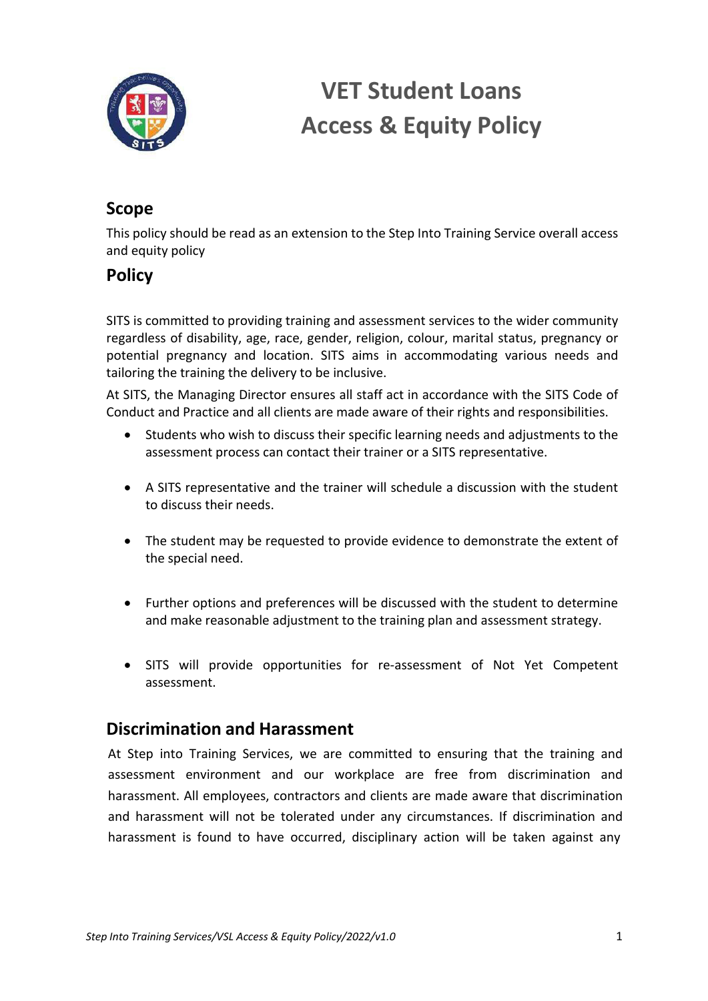

# **VET Student Loans Access & Equity Policy**

## **Scope**

This policy should be read as an extension to the Step Into Training Service overall access and equity policy

### **Policy**

SITS is committed to providing training and assessment services to the wider community regardless of disability, age, race, gender, religion, colour, marital status, pregnancy or potential pregnancy and location. SITS aims in accommodating various needs and tailoring the training the delivery to be inclusive.

At SITS, the Managing Director ensures all staff act in accordance with the SITS Code of Conduct and Practice and all clients are made aware of their rights and responsibilities.

- Students who wish to discuss their specific learning needs and adjustments to the assessment process can contact their trainer or a SITS representative.
- A SITS representative and the trainer will schedule a discussion with the student to discuss their needs.
- The student may be requested to provide evidence to demonstrate the extent of the special need.
- Further options and preferences will be discussed with the student to determine and make reasonable adjustment to the training plan and assessment strategy.
- SITS will provide opportunities for re-assessment of Not Yet Competent assessment.

#### **Discrimination and Harassment**

At Step into Training Services, we are committed to ensuring that the training and assessment environment and our workplace are free from discrimination and harassment. All employees, contractors and clients are made aware that discrimination and harassment will not be tolerated under any circumstances. If discrimination and harassment is found to have occurred, disciplinary action will be taken against any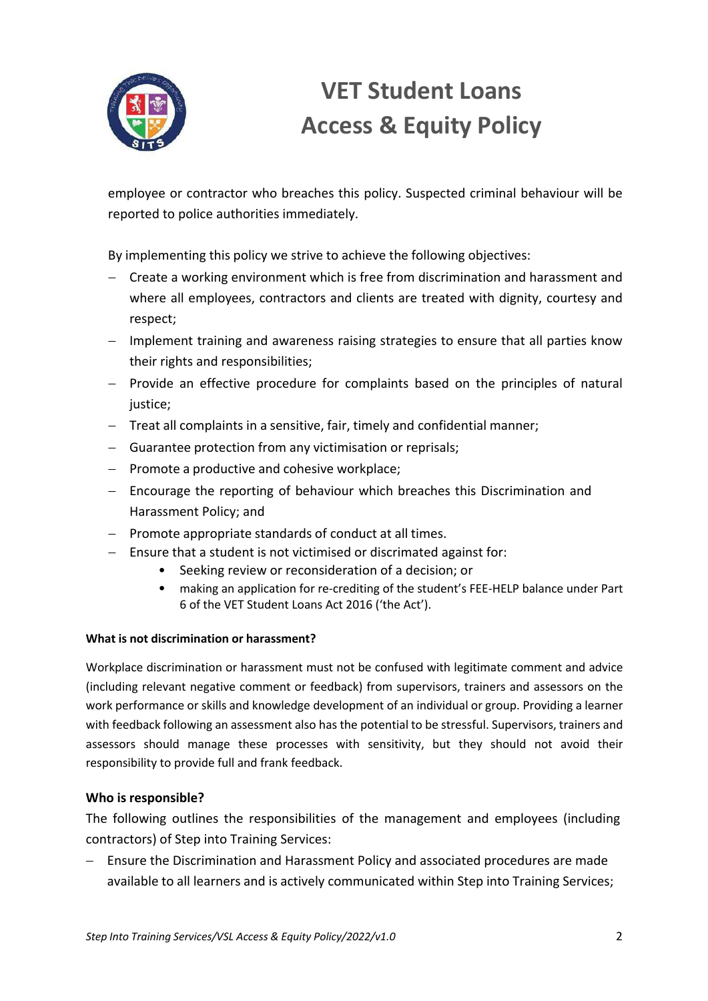

# **VET Student Loans Access & Equity Policy**

employee or contractor who breaches this policy. Suspected criminal behaviour will be reported to police authorities immediately.

By implementing this policy we strive to achieve the following objectives:

- Create a working environment which is free from discrimination and harassment and where all employees, contractors and clients are treated with dignity, courtesy and respect;
- Implement training and awareness raising strategies to ensure that all parties know their rights and responsibilities;
- Provide an effective procedure for complaints based on the principles of natural iustice:
- Treat all complaints in a sensitive, fair, timely and confidential manner;
- Guarantee protection from any victimisation or reprisals;
- Promote a productive and cohesive workplace;
- Encourage the reporting of behaviour which breaches this Discrimination and Harassment Policy; and
- Promote appropriate standards of conduct at all times.
- Ensure that a student is not victimised or discrimated against for:
	- Seeking review or reconsideration of a decision; or
	- making an application for re-crediting of the student's FEE-HELP balance under Part 6 of the VET Student Loans Act 2016 ('the Act').

#### **What is not discrimination or harassment?**

Workplace discrimination or harassment must not be confused with legitimate comment and advice (including relevant negative comment or feedback) from supervisors, trainers and assessors on the work performance or skills and knowledge development of an individual or group. Providing a learner with feedback following an assessment also has the potential to be stressful. Supervisors, trainers and assessors should manage these processes with sensitivity, but they should not avoid their responsibility to provide full and frank feedback.

#### **Who is responsible?**

The following outlines the responsibilities of the management and employees (including contractors) of Step into Training Services:

- Ensure the Discrimination and Harassment Policy and associated procedures are made available to all learners and is actively communicated within Step into Training Services;